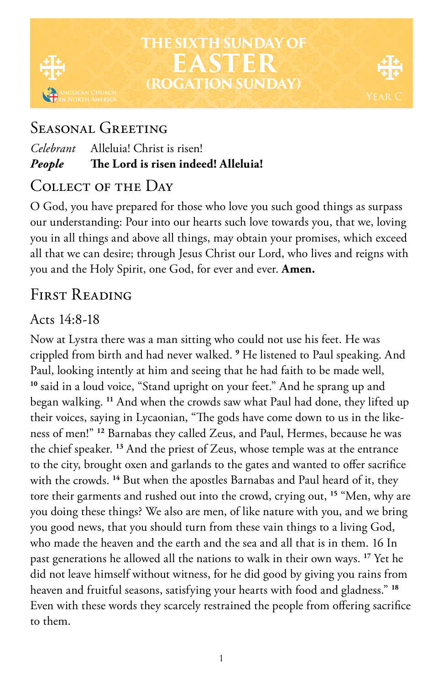# **THE SIXTH SUNDAY OF EASTER (ROGATION SUNDAY)**

# Seasonal Greeting

#### *Celebrant* Alleluia! Christ is risen! *People* **The Lord is risen indeed! Alleluia!**

### Collect of the Day

O God, you have prepared for those who love you such good things as surpass our understanding: Pour into our hearts such love towards you, that we, loving you in all things and above all things, may obtain your promises, which exceed all that we can desire; through Jesus Christ our Lord, who lives and reigns with you and the Holy Spirit, one God, for ever and ever. **Amen.**

# FIRST READING

## Acts  $14.8 - 18$

Now at Lystra there was a man sitting who could not use his feet. He was crippled from birth and had never walked. **<sup>9</sup>** He listened to Paul speaking. And Paul, looking intently at him and seeing that he had faith to be made well, **<sup>10</sup>** said in a loud voice, "Stand upright on your feet." And he sprang up and began walking. **<sup>11</sup>** And when the crowds saw what Paul had done, they lifted up their voices, saying in Lycaonian, "The gods have come down to us in the likeness of men!" **<sup>12</sup>** Barnabas they called Zeus, and Paul, Hermes, because he was the chief speaker. **<sup>13</sup>** And the priest of Zeus, whose temple was at the entrance to the city, brought oxen and garlands to the gates and wanted to offer sacrifice with the crowds. **<sup>14</sup>** But when the apostles Barnabas and Paul heard of it, they tore their garments and rushed out into the crowd, crying out, **<sup>15</sup>** "Men, why are you doing these things? We also are men, of like nature with you, and we bring you good news, that you should turn from these vain things to a living God, who made the heaven and the earth and the sea and all that is in them. 16 In past generations he allowed all the nations to walk in their own ways. **<sup>17</sup>** Yet he did not leave himself without witness, for he did good by giving you rains from heaven and fruitful seasons, satisfying your hearts with food and gladness." **<sup>18</sup>** Even with these words they scarcely restrained the people from offering sacrifice to them.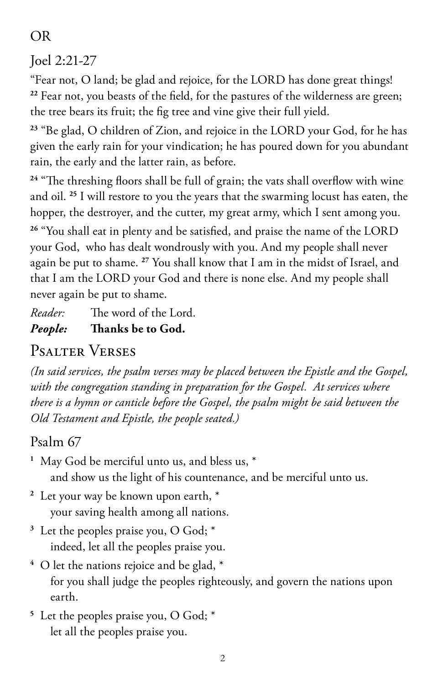### OR

Joel 2:21-27

"Fear not, O land; be glad and rejoice, for the LORD has done great things! **<sup>22</sup>** Fear not, you beasts of the field, for the pastures of the wilderness are green; the tree bears its fruit; the fig tree and vine give their full yield.

**<sup>23</sup>** "Be glad, O children of Zion, and rejoice in the LORD your God, for he has given the early rain for your vindication; he has poured down for you abundant rain, the early and the latter rain, as before.

**<sup>24</sup>** "The threshing floors shall be full of grain; the vats shall overflow with wine and oil. **<sup>25</sup>** I will restore to you the years that the swarming locust has eaten, the hopper, the destroyer, and the cutter, my great army, which I sent among you.

**<sup>26</sup>** "You shall eat in plenty and be satisfied, and praise the name of the LORD your God, who has dealt wondrously with you. And my people shall never again be put to shame. **<sup>27</sup>** You shall know that I am in the midst of Israel, and that I am the LORD your God and there is none else. And my people shall never again be put to shame.

*Reader:* The word of the Lord.

### *People:* **Thanks be to God.**

# Psalter Verses

*(In said services, the psalm verses may be placed between the Epistle and the Gospel, with the congregation standing in preparation for the Gospel. At services where there is a hymn or canticle before the Gospel, the psalm might be said between the Old Testament and Epistle, the people seated.)*

# Psalm 67

- **<sup>1</sup>** May God be merciful unto us, and bless us, \* and show us the light of his countenance, and be merciful unto us.
- **<sup>2</sup>** Let your way be known upon earth, \* your saving health among all nations.
- **<sup>3</sup>** Let the peoples praise you, O God; \* indeed, let all the peoples praise you.
- **<sup>4</sup>** O let the nations rejoice and be glad, \* for you shall judge the peoples righteously, and govern the nations upon earth.
- **<sup>5</sup>** Let the peoples praise you, O God; \* let all the peoples praise you.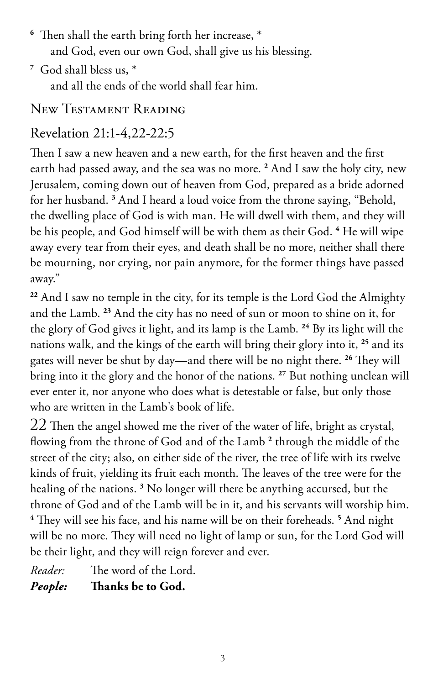- **<sup>6</sup>** Then shall the earth bring forth her increase, \* and God, even our own God, shall give us his blessing.
- **<sup>7</sup>** God shall bless us, \* and all the ends of the world shall fear him.

#### New Testament Reading

### Revelation 21:1-4,22-22:5

Then I saw a new heaven and a new earth, for the first heaven and the first earth had passed away, and the sea was no more. **<sup>2</sup>** And I saw the holy city, new Jerusalem, coming down out of heaven from God, prepared as a bride adorned for her husband. **<sup>3</sup>** And I heard a loud voice from the throne saying, "Behold, the dwelling place of God is with man. He will dwell with them, and they will be his people, and God himself will be with them as their God. <sup>4</sup> He will wipe away every tear from their eyes, and death shall be no more, neither shall there be mourning, nor crying, nor pain anymore, for the former things have passed away."

**<sup>22</sup>** And I saw no temple in the city, for its temple is the Lord God the Almighty and the Lamb. **<sup>23</sup>** And the city has no need of sun or moon to shine on it, for the glory of God gives it light, and its lamp is the Lamb. **<sup>24</sup>** By its light will the nations walk, and the kings of the earth will bring their glory into it, **<sup>25</sup>** and its gates will never be shut by day—and there will be no night there. **<sup>26</sup>** They will bring into it the glory and the honor of the nations. **<sup>27</sup>** But nothing unclean will ever enter it, nor anyone who does what is detestable or false, but only those who are written in the Lamb's book of life.

22 Then the angel showed me the river of the water of life, bright as crystal, flowing from the throne of God and of the Lamb **<sup>2</sup>** through the middle of the street of the city; also, on either side of the river, the tree of life with its twelve kinds of fruit, yielding its fruit each month. The leaves of the tree were for the healing of the nations. **<sup>3</sup>** No longer will there be anything accursed, but the throne of God and of the Lamb will be in it, and his servants will worship him. **4** They will see his face, and his name will be on their foreheads. **<sup>5</sup>** And night will be no more. They will need no light of lamp or sun, for the Lord God will be their light, and they will reign forever and ever.

*Reader:* The word of the Lord. *People:* **Thanks be to God.**